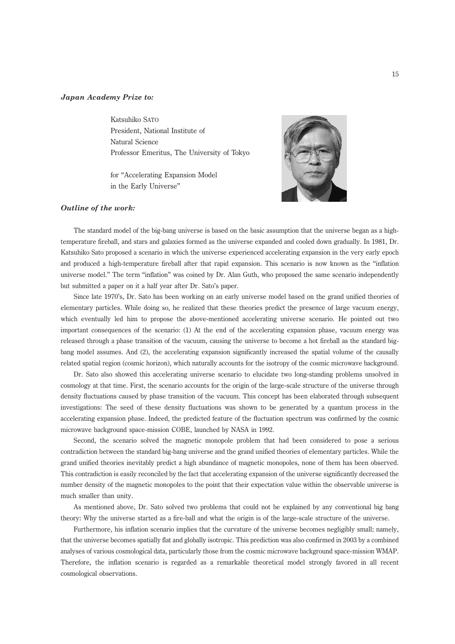## Japan Academy Prize to:

Katsuhiko SATO President, National Institute of Natural Science Professor Emeritus, The University of Tokyo

for ''Accelerating Expansion Model in the Early Universe''



## Outline of the work:

The standard model of the big-bang universe is based on the basic assumption that the universe began as a hightemperature fireball, and stars and galaxies formed as the universe expanded and cooled down gradually. In 1981, Dr. Katsuhiko Sato proposed a scenario in which the universe experienced accelerating expansion in the very early epoch and produced a high-temperature fireball after that rapid expansion. This scenario is now known as the ''inflation universe model.'' The term ''inflation'' was coined by Dr. Alan Guth, who proposed the same scenario independently but submitted a paper on it a half year after Dr. Sato's paper.

Since late 1970's, Dr. Sato has been working on an early universe model based on the grand unified theories of elementary particles. While doing so, he realized that these theories predict the presence of large vacuum energy, which eventually led him to propose the above-mentioned accelerating universe scenario. He pointed out two important consequences of the scenario: (1) At the end of the accelerating expansion phase, vacuum energy was released through a phase transition of the vacuum, causing the universe to become a hot fireball as the standard bigbang model assumes. And (2), the accelerating expansion significantly increased the spatial volume of the causally related spatial region (cosmic horizon), which naturally accounts for the isotropy of the cosmic microwave background.

Dr. Sato also showed this accelerating universe scenario to elucidate two long-standing problems unsolved in cosmology at that time. First, the scenario accounts for the origin of the large-scale structure of the universe through density fluctuations caused by phase transition of the vacuum. This concept has been elaborated through subsequent investigations: The seed of these density fluctuations was shown to be generated by a quantum process in the accelerating expansion phase. Indeed, the predicted feature of the fluctuation spectrum was confirmed by the cosmic microwave background space-mission COBE, launched by NASA in 1992.

Second, the scenario solved the magnetic monopole problem that had been considered to pose a serious contradiction between the standard big-bang universe and the grand unified theories of elementary particles. While the grand unified theories inevitably predict a high abundance of magnetic monopoles, none of them has been observed. This contradiction is easily reconciled by the fact that accelerating expansion of the universe significantly decreased the number density of the magnetic monopoles to the point that their expectation value within the observable universe is much smaller than unity.

As mentioned above, Dr. Sato solved two problems that could not be explained by any conventional big bang theory: Why the universe started as a fire-ball and what the origin is of the large-scale structure of the universe.

Furthermore, his inflation scenario implies that the curvature of the universe becomes negligibly small; namely, that the universe becomes spatially flat and globally isotropic. This prediction was also confirmed in 2003 by a combined analyses of various cosmological data, particularly those from the cosmic microwave background space-mission WMAP. Therefore, the inflation scenario is regarded as a remarkable theoretical model strongly favored in all recent cosmological observations.